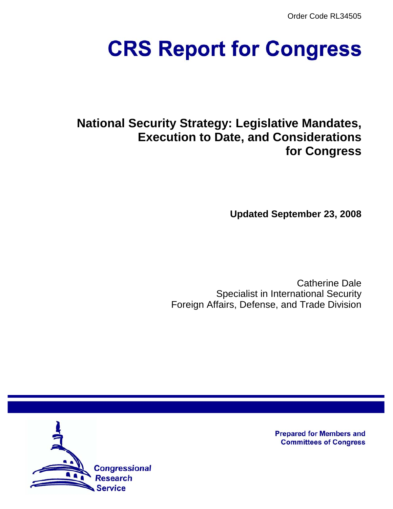Order Code RL34505

# **CRS Report for Congress**

# **National Security Strategy: Legislative Mandates, Execution to Date, and Considerations for Congress**

**Updated September 23, 2008**

Catherine Dale Specialist in International Security Foreign Affairs, Defense, and Trade Division



**Prepared for Members and Committees of Congress**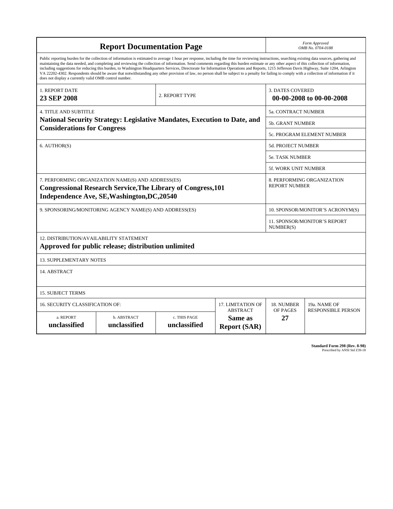| <b>Report Documentation Page</b>                                                                                                                                                                                                                                                                                                                                                                                                                                                                                                                                                                                                                                                                                                                                                                                                                                   |                             |                              |                                                   | Form Approved<br>OMB No. 0704-0188                  |                           |  |
|--------------------------------------------------------------------------------------------------------------------------------------------------------------------------------------------------------------------------------------------------------------------------------------------------------------------------------------------------------------------------------------------------------------------------------------------------------------------------------------------------------------------------------------------------------------------------------------------------------------------------------------------------------------------------------------------------------------------------------------------------------------------------------------------------------------------------------------------------------------------|-----------------------------|------------------------------|---------------------------------------------------|-----------------------------------------------------|---------------------------|--|
| Public reporting burden for the collection of information is estimated to average 1 hour per response, including the time for reviewing instructions, searching existing data sources, gathering and<br>maintaining the data needed, and completing and reviewing the collection of information. Send comments regarding this burden estimate or any other aspect of this collection of information,<br>including suggestions for reducing this burden, to Washington Headquarters Services, Directorate for Information Operations and Reports, 1215 Jefferson Davis Highway, Suite 1204, Arlington<br>VA 22202-4302. Respondents should be aware that notwithstanding any other provision of law, no person shall be subject to a penalty for failing to comply with a collection of information if it<br>does not display a currently valid OMB control number. |                             |                              |                                                   |                                                     |                           |  |
| 1. REPORT DATE<br><b>23 SEP 2008</b>                                                                                                                                                                                                                                                                                                                                                                                                                                                                                                                                                                                                                                                                                                                                                                                                                               |                             | 2. REPORT TYPE               |                                                   | <b>3. DATES COVERED</b><br>00-00-2008 to 00-00-2008 |                           |  |
| <b>4. TITLE AND SUBTITLE</b>                                                                                                                                                                                                                                                                                                                                                                                                                                                                                                                                                                                                                                                                                                                                                                                                                                       |                             |                              |                                                   | 5a. CONTRACT NUMBER                                 |                           |  |
| National Security Strategy: Legislative Mandates, Execution to Date, and                                                                                                                                                                                                                                                                                                                                                                                                                                                                                                                                                                                                                                                                                                                                                                                           |                             |                              |                                                   | <b>5b. GRANT NUMBER</b>                             |                           |  |
| <b>Considerations for Congress</b>                                                                                                                                                                                                                                                                                                                                                                                                                                                                                                                                                                                                                                                                                                                                                                                                                                 |                             |                              |                                                   | 5c. PROGRAM ELEMENT NUMBER                          |                           |  |
| 6. AUTHOR(S)                                                                                                                                                                                                                                                                                                                                                                                                                                                                                                                                                                                                                                                                                                                                                                                                                                                       |                             |                              |                                                   | <b>5d. PROJECT NUMBER</b>                           |                           |  |
|                                                                                                                                                                                                                                                                                                                                                                                                                                                                                                                                                                                                                                                                                                                                                                                                                                                                    |                             |                              |                                                   | 5e. TASK NUMBER                                     |                           |  |
|                                                                                                                                                                                                                                                                                                                                                                                                                                                                                                                                                                                                                                                                                                                                                                                                                                                                    |                             |                              |                                                   | 5f. WORK UNIT NUMBER                                |                           |  |
| 7. PERFORMING ORGANIZATION NAME(S) AND ADDRESS(ES)<br><b>Congressional Research Service, The Library of Congress, 101</b><br>Independence Ave, SE, Washington, DC, 20540                                                                                                                                                                                                                                                                                                                                                                                                                                                                                                                                                                                                                                                                                           |                             |                              |                                                   | 8. PERFORMING ORGANIZATION<br><b>REPORT NUMBER</b>  |                           |  |
| 9. SPONSORING/MONITORING AGENCY NAME(S) AND ADDRESS(ES)                                                                                                                                                                                                                                                                                                                                                                                                                                                                                                                                                                                                                                                                                                                                                                                                            |                             |                              |                                                   | 10. SPONSOR/MONITOR'S ACRONYM(S)                    |                           |  |
|                                                                                                                                                                                                                                                                                                                                                                                                                                                                                                                                                                                                                                                                                                                                                                                                                                                                    |                             |                              |                                                   | <b>11. SPONSOR/MONITOR'S REPORT</b><br>NUMBER(S)    |                           |  |
| 12. DISTRIBUTION/AVAILABILITY STATEMENT<br>Approved for public release; distribution unlimited                                                                                                                                                                                                                                                                                                                                                                                                                                                                                                                                                                                                                                                                                                                                                                     |                             |                              |                                                   |                                                     |                           |  |
| <b>13. SUPPLEMENTARY NOTES</b>                                                                                                                                                                                                                                                                                                                                                                                                                                                                                                                                                                                                                                                                                                                                                                                                                                     |                             |                              |                                                   |                                                     |                           |  |
| 14. ABSTRACT                                                                                                                                                                                                                                                                                                                                                                                                                                                                                                                                                                                                                                                                                                                                                                                                                                                       |                             |                              |                                                   |                                                     |                           |  |
| <b>15. SUBJECT TERMS</b>                                                                                                                                                                                                                                                                                                                                                                                                                                                                                                                                                                                                                                                                                                                                                                                                                                           |                             |                              |                                                   |                                                     |                           |  |
| 16. SECURITY CLASSIFICATION OF:                                                                                                                                                                                                                                                                                                                                                                                                                                                                                                                                                                                                                                                                                                                                                                                                                                    | 17. LIMITATION OF           | 18. NUMBER<br>OF PAGES       | 19a. NAME OF                                      |                                                     |                           |  |
| a. REPORT<br>unclassified                                                                                                                                                                                                                                                                                                                                                                                                                                                                                                                                                                                                                                                                                                                                                                                                                                          | b. ABSTRACT<br>unclassified | c. THIS PAGE<br>unclassified | <b>ABSTRACT</b><br>Same as<br><b>Report (SAR)</b> | 27                                                  | <b>RESPONSIBLE PERSON</b> |  |

**Standard Form 298 (Rev. 8-98)**<br>Prescribed by ANSI Std Z39-18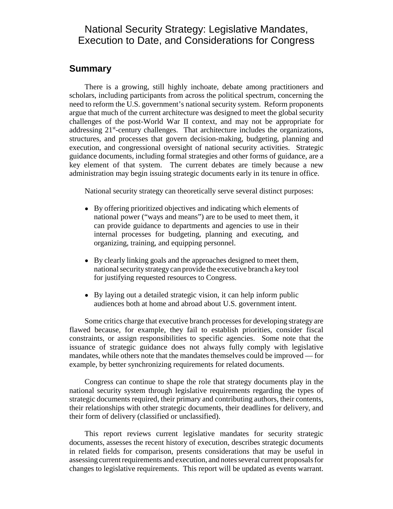# National Security Strategy: Legislative Mandates, Execution to Date, and Considerations for Congress

#### **Summary**

There is a growing, still highly inchoate, debate among practitioners and scholars, including participants from across the political spectrum, concerning the need to reform the U.S. government's national security system. Reform proponents argue that much of the current architecture was designed to meet the global security challenges of the post-World War II context, and may not be appropriate for addressing  $21<sup>st</sup>$ -century challenges. That architecture includes the organizations, structures, and processes that govern decision-making, budgeting, planning and execution, and congressional oversight of national security activities. Strategic guidance documents, including formal strategies and other forms of guidance, are a key element of that system. The current debates are timely because a new administration may begin issuing strategic documents early in its tenure in office.

National security strategy can theoretically serve several distinct purposes:

- ! By offering prioritized objectives and indicating which elements of national power ("ways and means") are to be used to meet them, it can provide guidance to departments and agencies to use in their internal processes for budgeting, planning and executing, and organizing, training, and equipping personnel.
- ! By clearly linking goals and the approaches designed to meet them, national security strategy can provide the executive branch a key tool for justifying requested resources to Congress.
- ! By laying out a detailed strategic vision, it can help inform public audiences both at home and abroad about U.S. government intent.

Some critics charge that executive branch processes for developing strategy are flawed because, for example, they fail to establish priorities, consider fiscal constraints, or assign responsibilities to specific agencies. Some note that the issuance of strategic guidance does not always fully comply with legislative mandates, while others note that the mandates themselves could be improved — for example, by better synchronizing requirements for related documents.

Congress can continue to shape the role that strategy documents play in the national security system through legislative requirements regarding the types of strategic documents required, their primary and contributing authors, their contents, their relationships with other strategic documents, their deadlines for delivery, and their form of delivery (classified or unclassified).

This report reviews current legislative mandates for security strategic documents, assesses the recent history of execution, describes strategic documents in related fields for comparison, presents considerations that may be useful in assessing current requirements and execution, and notes several current proposals for changes to legislative requirements. This report will be updated as events warrant.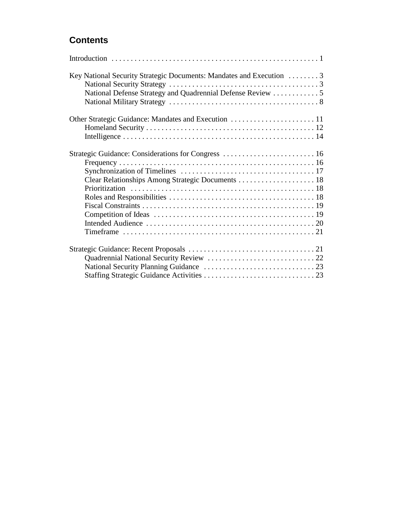# **Contents**

| Key National Security Strategic Documents: Mandates and Execution  3 |
|----------------------------------------------------------------------|
| National Defense Strategy and Quadrennial Defense Review  5          |
|                                                                      |
|                                                                      |
|                                                                      |
| Strategic Guidance: Considerations for Congress  16                  |
|                                                                      |
|                                                                      |
|                                                                      |
|                                                                      |
|                                                                      |
|                                                                      |
|                                                                      |
|                                                                      |
|                                                                      |
|                                                                      |
|                                                                      |
|                                                                      |
|                                                                      |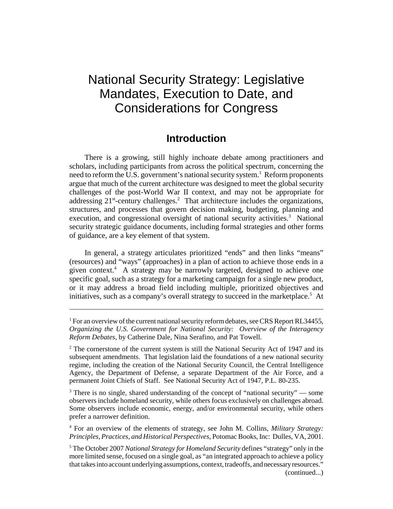# National Security Strategy: Legislative Mandates, Execution to Date, and Considerations for Congress

# **Introduction**

There is a growing, still highly inchoate debate among practitioners and scholars, including participants from across the political spectrum, concerning the need to reform the U.S. government's national security system.<sup>1</sup> Reform proponents argue that much of the current architecture was designed to meet the global security challenges of the post-World War II context, and may not be appropriate for addressing  $21^{st}$ -century challenges.<sup>2</sup> That architecture includes the organizations, structures, and processes that govern decision making, budgeting, planning and execution, and congressional oversight of national security activities.<sup>3</sup> National security strategic guidance documents, including formal strategies and other forms of guidance, are a key element of that system.

In general, a strategy articulates prioritized "ends" and then links "means" (resources) and "ways" (approaches) in a plan of action to achieve those ends in a given context.4 A strategy may be narrowly targeted, designed to achieve one specific goal, such as a strategy for a marketing campaign for a single new product, or it may address a broad field including multiple, prioritized objectives and initiatives, such as a company's overall strategy to succeed in the marketplace.<sup>5</sup> At

 $3$  There is no single, shared understanding of the concept of "national security" — some observers include homeland security, while others focus exclusively on challenges abroad. Some observers include economic, energy, and/or environmental security, while others prefer a narrower definition.

 $1$  For an overview of the current national security reform debates, see CRS Report RL34455, *Organizing the U.S. Government for National Security: Overview of the Interagency Reform Debates*, by Catherine Dale, Nina Serafino, and Pat Towell.

 $2^2$  The cornerstone of the current system is still the National Security Act of 1947 and its subsequent amendments. That legislation laid the foundations of a new national security regime, including the creation of the National Security Council, the Central Intelligence Agency, the Department of Defense, a separate Department of the Air Force, and a permanent Joint Chiefs of Staff. See National Security Act of 1947, P.L. 80-235.

<sup>4</sup> For an overview of the elements of strategy, see John M. Collins, *Military Strategy: Principles, Practices, and Historical Perspectives*, Potomac Books, Inc: Dulles, VA, 2001.

<sup>5</sup> The October 2007 *National Strategy for Homeland Security* defines "strategy" only in the more limited sense, focused on a single goal, as "an integrated approach to achieve a policy that takes into account underlying assumptions, context, tradeoffs, and necessary resources." (continued...)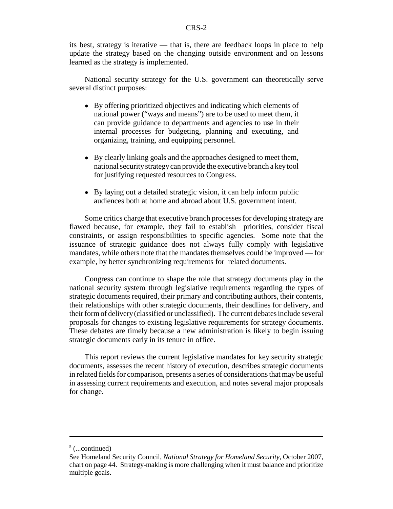its best, strategy is iterative — that is, there are feedback loops in place to help update the strategy based on the changing outside environment and on lessons learned as the strategy is implemented.

National security strategy for the U.S. government can theoretically serve several distinct purposes:

- ! By offering prioritized objectives and indicating which elements of national power ("ways and means") are to be used to meet them, it can provide guidance to departments and agencies to use in their internal processes for budgeting, planning and executing, and organizing, training, and equipping personnel.
- By clearly linking goals and the approaches designed to meet them, national security strategy can provide the executive branch a key tool for justifying requested resources to Congress.
- ! By laying out a detailed strategic vision, it can help inform public audiences both at home and abroad about U.S. government intent.

Some critics charge that executive branch processes for developing strategy are flawed because, for example, they fail to establish priorities, consider fiscal constraints, or assign responsibilities to specific agencies. Some note that the issuance of strategic guidance does not always fully comply with legislative mandates, while others note that the mandates themselves could be improved — for example, by better synchronizing requirements for related documents.

Congress can continue to shape the role that strategy documents play in the national security system through legislative requirements regarding the types of strategic documents required, their primary and contributing authors, their contents, their relationships with other strategic documents, their deadlines for delivery, and their form of delivery (classified or unclassified). The current debates include several proposals for changes to existing legislative requirements for strategy documents. These debates are timely because a new administration is likely to begin issuing strategic documents early in its tenure in office.

This report reviews the current legislative mandates for key security strategic documents, assesses the recent history of execution, describes strategic documents in related fields for comparison, presents a series of considerations that may be useful in assessing current requirements and execution, and notes several major proposals for change.

 $5$  (...continued)

See Homeland Security Council, *National Strategy for Homeland Security*, October 2007, chart on page 44. Strategy-making is more challenging when it must balance and prioritize multiple goals.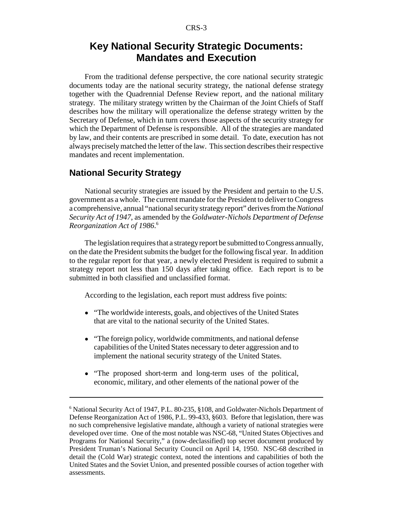# **Key National Security Strategic Documents: Mandates and Execution**

From the traditional defense perspective, the core national security strategic documents today are the national security strategy, the national defense strategy together with the Quadrennial Defense Review report, and the national military strategy. The military strategy written by the Chairman of the Joint Chiefs of Staff describes how the military will operationalize the defense strategy written by the Secretary of Defense, which in turn covers those aspects of the security strategy for which the Department of Defense is responsible. All of the strategies are mandated by law, and their contents are prescribed in some detail. To date, execution has not always precisely matched the letter of the law. This section describes their respective mandates and recent implementation.

#### **National Security Strategy**

National security strategies are issued by the President and pertain to the U.S. government as a whole. The current mandate for the President to deliver to Congress a comprehensive, annual "national security strategy report" derives from the *National Security Act of 1947*, as amended by the *Goldwater-Nichols Department of Defense Reorganization Act of 1986*. 6

The legislation requires that a strategy report be submitted to Congress annually, on the date the President submits the budget for the following fiscal year. In addition to the regular report for that year, a newly elected President is required to submit a strategy report not less than 150 days after taking office. Each report is to be submitted in both classified and unclassified format.

According to the legislation, each report must address five points:

- "The worldwide interests, goals, and objectives of the United States that are vital to the national security of the United States.
- "The foreign policy, worldwide commitments, and national defense capabilities of the United States necessary to deter aggression and to implement the national security strategy of the United States.
- "The proposed short-term and long-term uses of the political, economic, military, and other elements of the national power of the

<sup>&</sup>lt;sup>6</sup> National Security Act of 1947, P.L. 80-235, §108, and Goldwater-Nichols Department of Defense Reorganization Act of 1986, P.L. 99-433, §603. Before that legislation, there was no such comprehensive legislative mandate, although a variety of national strategies were developed over time. One of the most notable was NSC-68, "United States Objectives and Programs for National Security," a (now-declassified) top secret document produced by President Truman's National Security Council on April 14, 1950. NSC-68 described in detail the (Cold War) strategic context, noted the intentions and capabilities of both the United States and the Soviet Union, and presented possible courses of action together with assessments.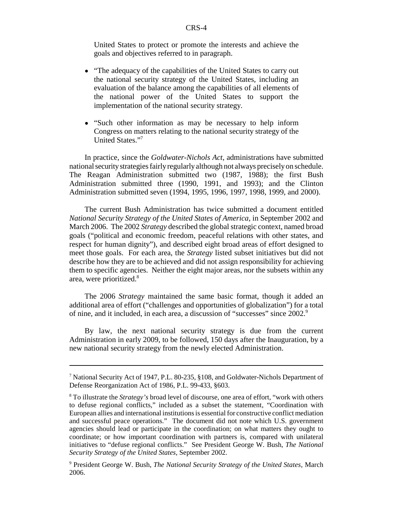United States to protect or promote the interests and achieve the goals and objectives referred to in paragraph.

- "The adequacy of the capabilities of the United States to carry out the national security strategy of the United States, including an evaluation of the balance among the capabilities of all elements of the national power of the United States to support the implementation of the national security strategy.
- "Such other information as may be necessary to help inform Congress on matters relating to the national security strategy of the United States."<sup>7</sup>

In practice, since the *Goldwater-Nichols Act*, administrations have submitted national security strategies fairly regularly although not always precisely on schedule. The Reagan Administration submitted two (1987, 1988); the first Bush Administration submitted three (1990, 1991, and 1993); and the Clinton Administration submitted seven (1994, 1995, 1996, 1997, 1998, 1999, and 2000).

The current Bush Administration has twice submitted a document entitled *National Security Strategy of the United States of America*, in September 2002 and March 2006. The 2002 *Strategy* described the global strategic context, named broad goals ("political and economic freedom, peaceful relations with other states, and respect for human dignity"), and described eight broad areas of effort designed to meet those goals. For each area, the *Strategy* listed subset initiatives but did not describe how they are to be achieved and did not assign responsibility for achieving them to specific agencies. Neither the eight major areas, nor the subsets within any area, were prioritized.8

The 2006 *Strategy* maintained the same basic format, though it added an additional area of effort ("challenges and opportunities of globalization") for a total of nine, and it included, in each area, a discussion of "successes" since 2002.9

By law, the next national security strategy is due from the current Administration in early 2009, to be followed, 150 days after the Inauguration, by a new national security strategy from the newly elected Administration.

<sup>7</sup> National Security Act of 1947, P.L. 80-235, §108, and Goldwater-Nichols Department of Defense Reorganization Act of 1986, P.L. 99-433, §603.

<sup>8</sup> To illustrate the *Strategy's* broad level of discourse, one area of effort, "work with others to defuse regional conflicts," included as a subset the statement, "Coordination with European allies and international institutions is essential for constructive conflict mediation and successful peace operations." The document did not note which U.S. government agencies should lead or participate in the coordination; on what matters they ought to coordinate; or how important coordination with partners is, compared with unilateral initiatives to "defuse regional conflicts." See President George W. Bush, *The National Security Strategy of the United States*, September 2002.

<sup>9</sup> President George W. Bush, *The National Security Strategy of the United States*, March 2006.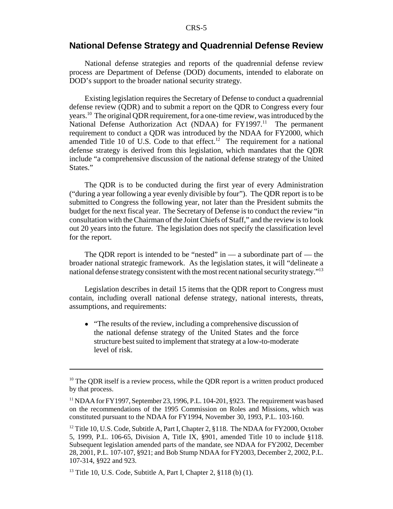#### **National Defense Strategy and Quadrennial Defense Review**

National defense strategies and reports of the quadrennial defense review process are Department of Defense (DOD) documents, intended to elaborate on DOD's support to the broader national security strategy.

Existing legislation requires the Secretary of Defense to conduct a quadrennial defense review (QDR) and to submit a report on the QDR to Congress every four years.10 The original QDR requirement, for a one-time review, was introduced by the National Defense Authorization Act (NDAA) for FY1997.<sup>11</sup> The permanent requirement to conduct a QDR was introduced by the NDAA for FY2000, which amended Title 10 of U.S. Code to that effect.<sup>12</sup> The requirement for a national defense strategy is derived from this legislation, which mandates that the QDR include "a comprehensive discussion of the national defense strategy of the United States."

The QDR is to be conducted during the first year of every Administration ("during a year following a year evenly divisible by four"). The QDR report is to be submitted to Congress the following year, not later than the President submits the budget for the next fiscal year. The Secretary of Defense is to conduct the review "in consultation with the Chairman of the Joint Chiefs of Staff," and the review is to look out 20 years into the future. The legislation does not specify the classification level for the report.

The QDR report is intended to be "nested" in  $-$  a subordinate part of  $-$  the broader national strategic framework. As the legislation states, it will "delineate a national defense strategy consistent with the most recent national security strategy."13

Legislation describes in detail 15 items that the QDR report to Congress must contain, including overall national defense strategy, national interests, threats, assumptions, and requirements:

• "The results of the review, including a comprehensive discussion of the national defense strategy of the United States and the force structure best suited to implement that strategy at a low-to-moderate level of risk.

 $10$  The QDR itself is a review process, while the QDR report is a written product produced by that process.

 $<sup>11</sup>$  NDAA for FY1997, September 23, 1996, P.L. 104-201, §923. The requirement was based</sup> on the recommendations of the 1995 Commission on Roles and Missions, which was constituted pursuant to the NDAA for FY1994, November 30, 1993, P.L. 103-160.

<sup>&</sup>lt;sup>12</sup> Title 10, U.S. Code, Subtitle A, Part I, Chapter 2,  $§118$ . The NDAA for FY2000, October 5, 1999, P.L. 106-65, Division A, Title IX, §901, amended Title 10 to include §118. Subsequent legislation amended parts of the mandate, see NDAA for FY2002, December 28, 2001, P.L. 107-107, §921; and Bob Stump NDAA for FY2003, December 2, 2002, P.L. 107-314, §922 and 923.

 $13$  Title 10, U.S. Code, Subtitle A, Part I, Chapter 2,  $\S 118$  (b) (1).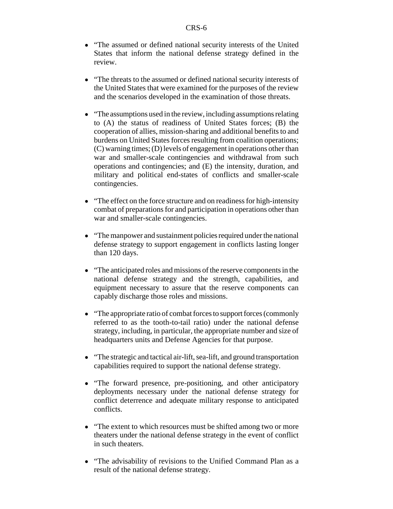- "The assumed or defined national security interests of the United States that inform the national defense strategy defined in the review.
- "The threats to the assumed or defined national security interests of the United States that were examined for the purposes of the review and the scenarios developed in the examination of those threats.
- $\bullet$  "The assumptions used in the review, including assumptions relating to (A) the status of readiness of United States forces; (B) the cooperation of allies, mission-sharing and additional benefits to and burdens on United States forces resulting from coalition operations; (C) warning times; (D) levels of engagement in operations other than war and smaller-scale contingencies and withdrawal from such operations and contingencies; and (E) the intensity, duration, and military and political end-states of conflicts and smaller-scale contingencies.
- "The effect on the force structure and on readiness for high-intensity combat of preparations for and participation in operations other than war and smaller-scale contingencies.
- "The manpower and sustainment policies required under the national defense strategy to support engagement in conflicts lasting longer than 120 days.
- "The anticipated roles and missions of the reserve components in the national defense strategy and the strength, capabilities, and equipment necessary to assure that the reserve components can capably discharge those roles and missions.
- "The appropriate ratio of combat forces to support forces (commonly referred to as the tooth-to-tail ratio) under the national defense strategy, including, in particular, the appropriate number and size of headquarters units and Defense Agencies for that purpose.
- "The strategic and tactical air-lift, sea-lift, and ground transportation capabilities required to support the national defense strategy.
- "The forward presence, pre-positioning, and other anticipatory deployments necessary under the national defense strategy for conflict deterrence and adequate military response to anticipated conflicts.
- "The extent to which resources must be shifted among two or more theaters under the national defense strategy in the event of conflict in such theaters.
- "The advisability of revisions to the Unified Command Plan as a result of the national defense strategy.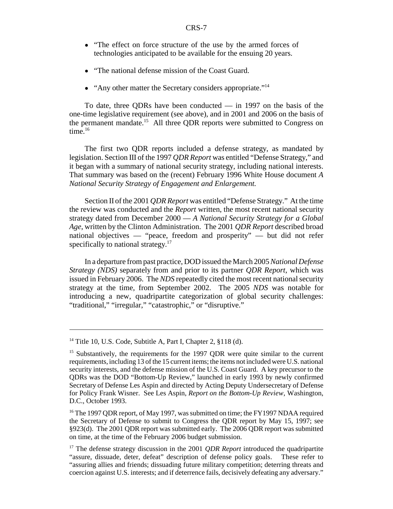- "The effect on force structure of the use by the armed forces of technologies anticipated to be available for the ensuing 20 years.
- "The national defense mission of the Coast Guard.
- "Any other matter the Secretary considers appropriate."<sup>14</sup>

To date, three QDRs have been conducted — in 1997 on the basis of the one-time legislative requirement (see above), and in 2001 and 2006 on the basis of the permanent mandate.<sup>15</sup> All three QDR reports were submitted to Congress on time. $16$ 

The first two QDR reports included a defense strategy, as mandated by legislation. Section III of the 1997 *QDR Report* was entitled "Defense Strategy," and it began with a summary of national security strategy, including national interests. That summary was based on the (recent) February 1996 White House document *A National Security Strategy of Engagement and Enlargement.*

Section II of the 2001 *QDR Report* was entitled "Defense Strategy." At the time the review was conducted and the *Report* written, the most recent national security strategy dated from December 2000 — *A National Security Strategy for a Global Age*, written by the Clinton Administration. The 2001 *QDR Report* described broad national objectives — "peace, freedom and prosperity" — but did not refer specifically to national strategy.<sup>17</sup>

In a departure from past practice, DOD issued the March 2005 *National Defense Strategy (NDS)* separately from and prior to its partner *QDR Report*, which was issued in February 2006. The *NDS* repeatedly cited the most recent national security strategy at the time, from September 2002. The 2005 *NDS* was notable for introducing a new, quadripartite categorization of global security challenges: "traditional," "irregular," "catastrophic," or "disruptive."

 $14$  Title 10, U.S. Code, Subtitle A, Part I, Chapter 2,  $\S 118$  (d).

<sup>&</sup>lt;sup>15</sup> Substantively, the requirements for the 1997 QDR were quite similar to the current requirements, including 13 of the 15 current items; the items not included were U.S. national security interests, and the defense mission of the U.S. Coast Guard. A key precursor to the QDRs was the DOD "Bottom-Up Review," launched in early 1993 by newly confirmed Secretary of Defense Les Aspin and directed by Acting Deputy Undersecretary of Defense for Policy Frank Wisner. See Les Aspin, *Report on the Bottom-Up Review*, Washington, D.C., October 1993.

<sup>&</sup>lt;sup>16</sup> The 1997 QDR report, of May 1997, was submitted on time; the FY1997 NDAA required the Secretary of Defense to submit to Congress the QDR report by May 15, 1997; see §923(d). The 2001 QDR report was submitted early. The 2006 QDR report was submitted on time, at the time of the February 2006 budget submission.

<sup>&</sup>lt;sup>17</sup> The defense strategy discussion in the 2001 *QDR Report* introduced the quadripartite "assure, dissuade, deter, defeat" description of defense policy goals. These refer to "assuring allies and friends; dissuading future military competition; deterring threats and coercion against U.S. interests; and if deterrence fails, decisively defeating any adversary."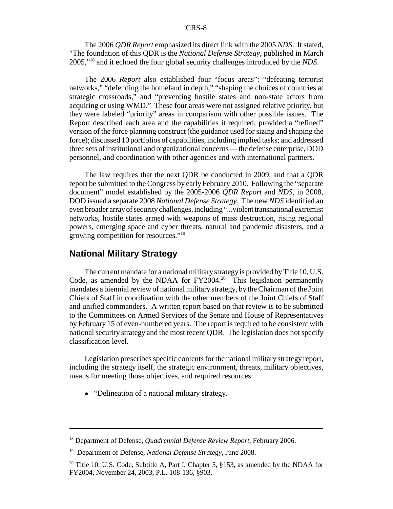The 2006 *QDR Report* emphasized its direct link with the 2005 *NDS*. It stated, "The foundation of this QDR is the *National Defense Strategy*, published in March 2005,"18 and it echoed the four global security challenges introduced by the *NDS*.

The 2006 *Report* also established four "focus areas": "defeating terrorist networks," "defending the homeland in depth," "shaping the choices of countries at strategic crossroads," and "preventing hostile states and non-state actors from acquiring or using WMD." These four areas were not assigned relative priority, but they were labeled "priority" areas in comparison with other possible issues. The Report described each area and the capabilities it required; provided a "refined" version of the force planning construct (the guidance used for sizing and shaping the force); discussed 10 portfolios of capabilities, including implied tasks; and addressed three sets of institutional and organizational concerns — the defense enterprise, DOD personnel, and coordination with other agencies and with international partners.

The law requires that the next QDR be conducted in 2009, and that a QDR report be submitted to the Congress by early February 2010. Following the "separate document" model established by the 2005-2006 *QDR Report* and *NDS*, in 2008, DOD issued a separate 2008 *National Defense Strategy*. The new *NDS* identified an even broader array of security challenges, including "...violent transnational extremist networks, hostile states armed with weapons of mass destruction, rising regional powers, emerging space and cyber threats, natural and pandemic disasters, and a growing competition for resources."19

#### **National Military Strategy**

The current mandate for a national military strategy is provided by Title 10, U.S. Code, as amended by the NDAA for  $FY2004<sup>20</sup>$  This legislation permanently mandates a biennial review of national military strategy, by the Chairman of the Joint Chiefs of Staff in coordination with the other members of the Joint Chiefs of Staff and unified commanders. A written report based on that review is to be submitted to the Committees on Armed Services of the Senate and House of Representatives by February 15 of even-numbered years. The report is required to be consistent with national security strategy and the most recent QDR. The legislation does not specify classification level.

Legislation prescribes specific contents for the national military strategy report, including the strategy itself, the strategic environment, threats, military objectives, means for meeting those objectives, and required resources:

• "Delineation of a national military strategy.

<sup>18</sup> Department of Defense, *Quadrennial Defense Review Report*, February 2006.

<sup>19</sup> Department of Defense, *National Defense Strategy*, June 2008.

<sup>&</sup>lt;sup>20</sup> Title 10, U.S. Code, Subtitle A, Part I, Chapter 5,  $\S153$ , as amended by the NDAA for FY2004, November 24, 2003, P.L. 108-136, §903.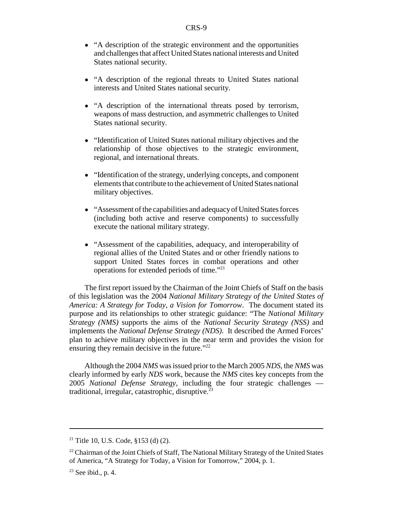- "A description of the strategic environment and the opportunities and challenges that affect United States national interests and United States national security.
- "A description of the regional threats to United States national interests and United States national security.
- "A description of the international threats posed by terrorism, weapons of mass destruction, and asymmetric challenges to United States national security.
- "Identification of United States national military objectives and the relationship of those objectives to the strategic environment, regional, and international threats.
- "Identification of the strategy, underlying concepts, and component elements that contribute to the achievement of United States national military objectives.
- ! "Assessment of the capabilities and adequacy of United States forces (including both active and reserve components) to successfully execute the national military strategy.
- ! "Assessment of the capabilities, adequacy, and interoperability of regional allies of the United States and or other friendly nations to support United States forces in combat operations and other operations for extended periods of time."21

The first report issued by the Chairman of the Joint Chiefs of Staff on the basis of this legislation was the 2004 *National Military Strategy of the United States of America: A Strategy for Today, a Vision for Tomorrow*. The document stated its purpose and its relationships to other strategic guidance: "The *National Military Strategy (NMS)* supports the aims of the *National Security Strategy (NSS)* and implements the *National Defense Strategy (NDS)*. It described the Armed Forces' plan to achieve military objectives in the near term and provides the vision for ensuring they remain decisive in the future."<sup>22</sup>

Although the 2004 *NMS* was issued prior to the March 2005 *NDS*, the *NMS* was clearly informed by early *NDS* work, because the *NMS* cites key concepts from the 2005 *National Defense Strategy*, including the four strategic challenges traditional, irregular, catastrophic, disruptive. $^{23}$ 

<sup>&</sup>lt;sup>21</sup> Title 10, U.S. Code,  $\S 153$  (d) (2).

<sup>&</sup>lt;sup>22</sup> Chairman of the Joint Chiefs of Staff, The National Military Strategy of the United States of America, "A Strategy for Today, a Vision for Tomorrow," 2004, p. 1.

 $23$  See ibid., p. 4.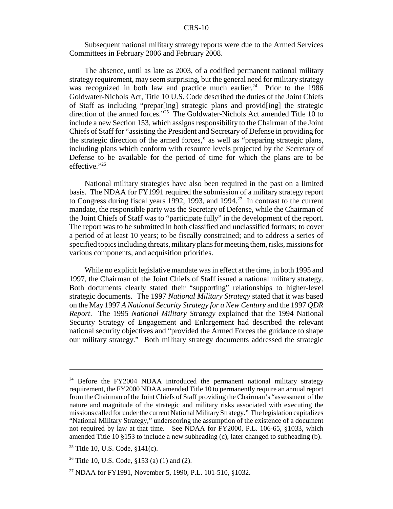Subsequent national military strategy reports were due to the Armed Services Committees in February 2006 and February 2008.

The absence, until as late as 2003, of a codified permanent national military strategy requirement, may seem surprising, but the general need for military strategy was recognized in both law and practice much earlier.<sup>24</sup> Prior to the 1986 Goldwater-Nichols Act, Title 10 U.S. Code described the duties of the Joint Chiefs of Staff as including "prepar[ing] strategic plans and provid[ing] the strategic direction of the armed forces."25 The Goldwater-Nichols Act amended Title 10 to include a new Section 153, which assigns responsibility to the Chairman of the Joint Chiefs of Staff for "assisting the President and Secretary of Defense in providing for the strategic direction of the armed forces," as well as "preparing strategic plans, including plans which conform with resource levels projected by the Secretary of Defense to be available for the period of time for which the plans are to be effective."26

National military strategies have also been required in the past on a limited basis. The NDAA for FY1991 required the submission of a military strategy report to Congress during fiscal years 1992, 1993, and  $1994.<sup>27</sup>$  In contrast to the current mandate, the responsible party was the Secretary of Defense, while the Chairman of the Joint Chiefs of Staff was to "participate fully" in the development of the report. The report was to be submitted in both classified and unclassified formats; to cover a period of at least 10 years; to be fiscally constrained; and to address a series of specified topics including threats, military plans for meeting them, risks, missions for various components, and acquisition priorities.

While no explicit legislative mandate was in effect at the time, in both 1995 and 1997, the Chairman of the Joint Chiefs of Staff issued a national military strategy. Both documents clearly stated their "supporting" relationships to higher-level strategic documents. The 1997 *National Military Strategy* stated that it was based on the May 1997 *A National Security Strategy for a New Century* and the 1997 *QDR Report*. The 1995 *National Military Strategy* explained that the 1994 National Security Strategy of Engagement and Enlargement had described the relevant national security objectives and "provided the Armed Forces the guidance to shape our military strategy." Both military strategy documents addressed the strategic

 $24$  Before the FY2004 NDAA introduced the permanent national military strategy requirement, the FY2000 NDAA amended Title 10 to permanently require an annual report from the Chairman of the Joint Chiefs of Staff providing the Chairman's "assessment of the nature and magnitude of the strategic and military risks associated with executing the missions called for under the current National Military Strategy." The legislation capitalizes "National Military Strategy," underscoring the assumption of the existence of a document not required by law at that time. See NDAA for FY2000, P.L. 106-65, §1033, which amended Title 10 §153 to include a new subheading (c), later changed to subheading (b).

<sup>&</sup>lt;sup>25</sup> Title 10, U.S. Code,  $$141(c)$ .

<sup>&</sup>lt;sup>26</sup> Title 10, U.S. Code,  $$153$  (a) (1) and (2).

<sup>&</sup>lt;sup>27</sup> NDAA for FY1991, November 5, 1990, P.L. 101-510, §1032.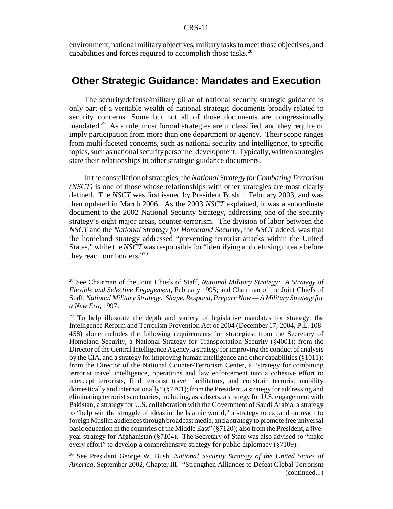environment, national military objectives, military tasks to meet those objectives, and capabilities and forces required to accomplish those tasks.28

## **Other Strategic Guidance: Mandates and Execution**

The security/defense/military pillar of national security strategic guidance is only part of a veritable wealth of national strategic documents broadly related to security concerns. Some but not all of those documents are congressionally mandated.<sup>29</sup> As a rule, most formal strategies are unclassified, and they require or imply participation from more than one department or agency. Their scope ranges from multi-faceted concerns, such as national security and intelligence, to specific topics, such as national security personnel development. Typically, written strategies state their relationships to other strategic guidance documents.

In the constellation of strategies, the *National Strategy for Combating Terrorism (NSCT)* is one of those whose relationships with other strategies are most clearly defined. The *NSCT* was first issued by President Bush in February 2003, and was then updated in March 2006. As the 2003 *NSCT* explained, it was a subordinate document to the 2002 National Security Strategy, addressing one of the security strategy's eight major areas, counter-terrorism. The division of labor between the *NSCT* and the *National Strategy for Homeland Security*, the *NSCT* added, was that the homeland strategy addressed "preventing terrorist attacks within the United States," while the *NSCT* was responsible for "identifying and defusing threats before they reach our borders."30

<sup>28</sup> See Chairman of the Joint Chiefs of Staff, *National Military Strategy: A Strategy of Flexible and Selective Engagement,* February 1995; and Chairman of the Joint Chiefs of Staff, *National Military Strategy: Shape, Respond, Prepare Now — A Military Strategy for a New Era*, 1997.

<sup>&</sup>lt;sup>29</sup> To help illustrate the depth and variety of legislative mandates for strategy, the Intelligence Reform and Terrorism Prevention Act of 2004 (December 17, 2004, P.L. 108- 458) alone includes the following requirements for strategies: from the Secretary of Homeland Security, a National Strategy for Transportation Security (§4001); from the Director of the Central Intelligence Agency, a strategy for improving the conduct of analysis by the CIA, and a strategy for improving human intelligence and other capabilities (§1011); from the Director of the National Counter-Terrorism Center, a "strategy for combining terrorist travel intelligence, operations and law enforcement into a cohesive effort to intercept terrorists, find terrorist travel facilitators, and constrain terrorist mobility domestically and internationally" (§7201); from the President, a strategy for addressing and eliminating terrorist sanctuaries, including, as subsets, a strategy for U.S. engagement with Pakistan, a strategy for U.S. collaboration with the Government of Saudi Arabia, a strategy to "help win the struggle of ideas in the Islamic world," a strategy to expand outreach to foreign Muslim audiences through broadcast media, and a strategy to promote free universal basic education in the countries of the Middle East" (§7120); also from the President, a fiveyear strategy for Afghanistan (§7104). The Secretary of State was also advised to "make every effort" to develop a comprehensive strategy for public diplomacy (§7109).

<sup>30</sup> See President George W. Bush, *National Security Strategy of the United States of America*, September 2002, Chapter III: "Strengthen Alliances to Defeat Global Terrorism (continued...)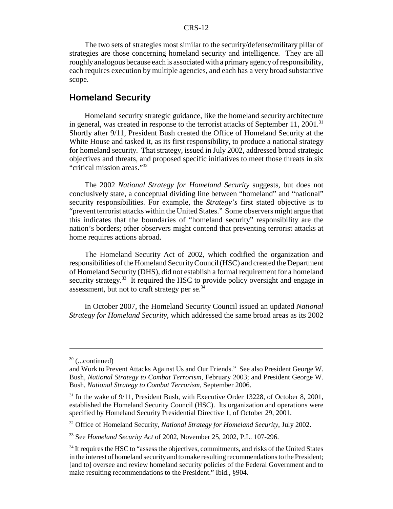The two sets of strategies most similar to the security/defense/military pillar of strategies are those concerning homeland security and intelligence. They are all roughly analogous because each is associated with a primary agency of responsibility, each requires execution by multiple agencies, and each has a very broad substantive scope.

# **Homeland Security**

Homeland security strategic guidance, like the homeland security architecture in general, was created in response to the terrorist attacks of September 11, 2001.<sup>31</sup> Shortly after 9/11, President Bush created the Office of Homeland Security at the White House and tasked it, as its first responsibility, to produce a national strategy for homeland security. That strategy, issued in July 2002, addressed broad strategic objectives and threats, and proposed specific initiatives to meet those threats in six "critical mission areas."32

The 2002 *National Strategy for Homeland Security* suggests, but does not conclusively state, a conceptual dividing line between "homeland" and "national" security responsibilities. For example, the *Strategy's* first stated objective is to "prevent terrorist attacks within the United States." Some observers might argue that this indicates that the boundaries of "homeland security" responsibility are the nation's borders; other observers might contend that preventing terrorist attacks at home requires actions abroad.

The Homeland Security Act of 2002, which codified the organization and responsibilities of the Homeland Security Council (HSC) and created the Department of Homeland Security (DHS), did not establish a formal requirement for a homeland security strategy.<sup>33</sup> It required the HSC to provide policy oversight and engage in assessment, but not to craft strategy per se. $34$ 

In October 2007, the Homeland Security Council issued an updated *National Strategy for Homeland Security*, which addressed the same broad areas as its 2002

 $30$  (...continued)

and Work to Prevent Attacks Against Us and Our Friends." See also President George W. Bush, *National Strategy to Combat Terrorism*, February 2003; and President George W. Bush, *National Strategy to Combat Terrorism*, September 2006.

 $31$  In the wake of 9/11, President Bush, with Executive Order 13228, of October 8, 2001, established the Homeland Security Council (HSC). Its organization and operations were specified by Homeland Security Presidential Directive 1, of October 29, 2001.

<sup>32</sup> Office of Homeland Security, *National Strategy for Homeland Security*, July 2002.

<sup>33</sup> See *Homeland Security Act* of 2002, November 25, 2002, P.L. 107-296.

<sup>&</sup>lt;sup>34</sup> It requires the HSC to "assess the objectives, commitments, and risks of the United States in the interest of homeland security and to make resulting recommendations to the President; [and to] oversee and review homeland security policies of the Federal Government and to make resulting recommendations to the President." Ibid., §904.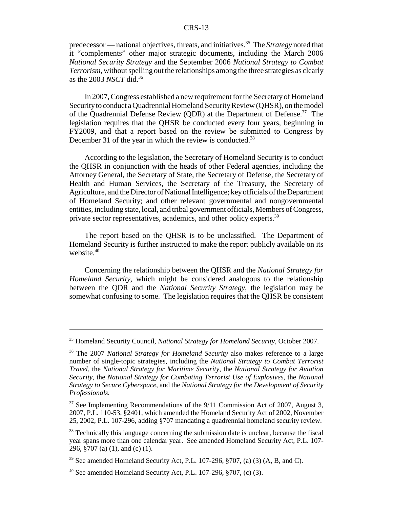predecessor — national objectives, threats, and initiatives.35 The *Strategy* noted that it "complements" other major strategic documents, including the March 2006 *National Security Strategy* and the September 2006 *National Strategy to Combat Terrorism,* without spelling out the relationships among the three strategies as clearly as the 2003 *NSCT* did.36

In 2007, Congress established a new requirement for the Secretary of Homeland Security to conduct a Quadrennial Homeland Security Review (QHSR), on the model of the Quadrennial Defense Review (QDR) at the Department of Defense.<sup>37</sup> The legislation requires that the QHSR be conducted every four years, beginning in FY2009, and that a report based on the review be submitted to Congress by December 31 of the year in which the review is conducted.<sup>38</sup>

According to the legislation, the Secretary of Homeland Security is to conduct the QHSR in conjunction with the heads of other Federal agencies, including the Attorney General, the Secretary of State, the Secretary of Defense, the Secretary of Health and Human Services, the Secretary of the Treasury, the Secretary of Agriculture, and the Director of National Intelligence; key officials of the Department of Homeland Security; and other relevant governmental and nongovernmental entities, including state, local, and tribal government officials, Members of Congress, private sector representatives, academics, and other policy experts.<sup>39</sup>

The report based on the QHSR is to be unclassified. The Department of Homeland Security is further instructed to make the report publicly available on its website. $40$ 

Concerning the relationship between the QHSR and the *National Strategy for Homeland Security*, which might be considered analogous to the relationship between the QDR and the *National Security Strategy*, the legislation may be somewhat confusing to some. The legislation requires that the QHSR be consistent

<sup>35</sup> Homeland Security Council, *National Strategy for Homeland Security*, October 2007.

<sup>36</sup> The 2007 *National Strategy for Homeland Security* also makes reference to a large number of single-topic strategies, including the *National Strategy to Combat Terrorist Travel*, the *National Strategy for Maritime Security*, the *National Strategy for Aviation Security*, the *National Strategy for Combating Terrorist Use of Explosives*, the *National Strategy to Secure Cyberspace*, and the *National Strategy for the Development of Security Professionals.*

 $37$  See Implementing Recommendations of the  $9/11$  Commission Act of 2007, August 3, 2007, P.L. 110-53, §2401, which amended the Homeland Security Act of 2002, November 25, 2002, P.L. 107-296, adding §707 mandating a quadrennial homeland security review.

<sup>&</sup>lt;sup>38</sup> Technically this language concerning the submission date is unclear, because the fiscal year spans more than one calendar year. See amended Homeland Security Act, P.L. 107- 296, §707 (a) (1), and (c) (1).

<sup>&</sup>lt;sup>39</sup> See amended Homeland Security Act, P.L. 107-296,  $\S707$ , (a) (3) (A, B, and C).

 $40$  See amended Homeland Security Act, P.L. 107-296,  $\S707$ , (c) (3).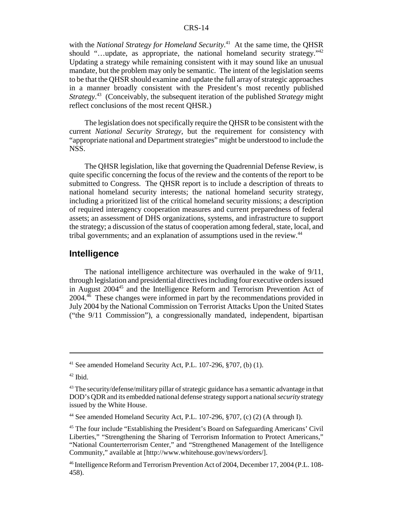with the *National Strategy for Homeland Security*. 41 At the same time, the QHSR should "...update, as appropriate, the national homeland security strategy."<sup>42</sup> Updating a strategy while remaining consistent with it may sound like an unusual mandate, but the problem may only be semantic. The intent of the legislation seems to be that the QHSR should examine and update the full array of strategic approaches in a manner broadly consistent with the President's most recently published *Strategy*. 43 (Conceivably, the subsequent iteration of the published *Strategy* might reflect conclusions of the most recent QHSR.)

The legislation does not specifically require the QHSR to be consistent with the current *National Security Strategy*, but the requirement for consistency with "appropriate national and Department strategies" might be understood to include the NSS.

The QHSR legislation, like that governing the Quadrennial Defense Review, is quite specific concerning the focus of the review and the contents of the report to be submitted to Congress. The QHSR report is to include a description of threats to national homeland security interests; the national homeland security strategy, including a prioritized list of the critical homeland security missions; a description of required interagency cooperation measures and current preparedness of federal assets; an assessment of DHS organizations, systems, and infrastructure to support the strategy; a discussion of the status of cooperation among federal, state, local, and tribal governments; and an explanation of assumptions used in the review.<sup>44</sup>

#### **Intelligence**

The national intelligence architecture was overhauled in the wake of 9/11, through legislation and presidential directives including four executive orders issued in August 200445 and the Intelligence Reform and Terrorism Prevention Act of 2004.46 These changes were informed in part by the recommendations provided in July 2004 by the National Commission on Terrorist Attacks Upon the United States ("the 9/11 Commission"), a congressionally mandated, independent, bipartisan

<sup>&</sup>lt;sup>41</sup> See amended Homeland Security Act, P.L. 107-296,  $\S 707$ , (b) (1).

 $42$  Ibid.

<sup>&</sup>lt;sup>43</sup> The security/defense/military pillar of strategic guidance has a semantic advantage in that DOD's QDR and its embedded national defense strategy support a national *security* strategy issued by the White House.

<sup>&</sup>lt;sup>44</sup> See amended Homeland Security Act, P.L. 107-296,  $\S707$ , (c) (2) (A through I).

<sup>45</sup> The four include "Establishing the President's Board on Safeguarding Americans' Civil Liberties," "Strengthening the Sharing of Terrorism Information to Protect Americans," "National Counterterrorism Center," and "Strengthened Management of the Intelligence Community," available at [http://www.whitehouse.gov/news/orders/].

<sup>46</sup> Intelligence Reform and Terrorism Prevention Act of 2004, December 17, 2004 (P.L. 108- 458).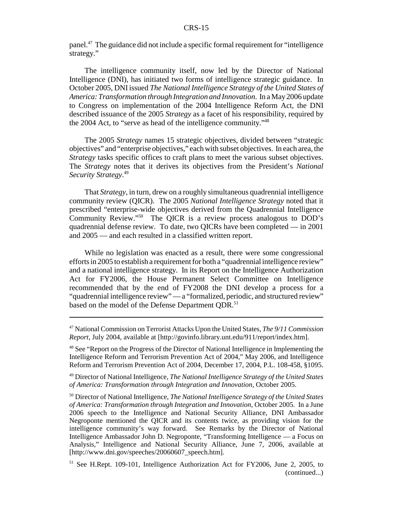panel.47 The guidance did not include a specific formal requirement for "intelligence strategy."

The intelligence community itself, now led by the Director of National Intelligence (DNI), has initiated two forms of intelligence strategic guidance. In October 2005, DNI issued *The National Intelligence Strategy of the United States of America: Transformation through Integration and Innovation*. In a May 2006 update to Congress on implementation of the 2004 Intelligence Reform Act, the DNI described issuance of the 2005 *Strategy* as a facet of his responsibility, required by the 2004 Act, to "serve as head of the intelligence community."48

The 2005 *Strategy* names 15 strategic objectives, divided between "strategic objectives" and "enterprise objectives," each with subset objectives. In each area, the *Strategy* tasks specific offices to craft plans to meet the various subset objectives. The *Strategy* notes that it derives its objectives from the President's *National Security Strategy*. 49

That *Strategy*, in turn, drew on a roughly simultaneous quadrennial intelligence community review (QICR). The 2005 *National Intelligence Strategy* noted that it prescribed "enterprise-wide objectives derived from the Quadrennial Intelligence Community Review."50 The QICR is a review process analogous to DOD's quadrennial defense review. To date, two QICRs have been completed — in 2001 and 2005 — and each resulted in a classified written report.

While no legislation was enacted as a result, there were some congressional efforts in 2005 to establish a requirement for both a "quadrennial intelligence review" and a national intelligence strategy. In its Report on the Intelligence Authorization Act for FY2006, the House Permanent Select Committee on Intelligence recommended that by the end of FY2008 the DNI develop a process for a "quadrennial intelligence review" — a "formalized, periodic, and structured review" based on the model of the Defense Department QDR.<sup>51</sup>

<sup>47</sup> National Commission on Terrorist Attacks Upon the United States, *The 9/11 Commission Report*, July 2004, available at [http://govinfo.library.unt.edu/911/report/index.htm].

<sup>48</sup> See "Report on the Progress of the Director of National Intelligence in Implementing the Intelligence Reform and Terrorism Prevention Act of 2004," May 2006, and Intelligence Reform and Terrorism Prevention Act of 2004, December 17, 2004, P.L. 108-458, §1095.

<sup>49</sup> Director of National Intelligence, *The National Intelligence Strategy of the United States of America: Transformation through Integration and Innovation*, October 2005.

<sup>50</sup> Director of National Intelligence, *The National Intelligence Strategy of the United States of America: Transformation through Integration and Innovation*, October 2005. In a June 2006 speech to the Intelligence and National Security Alliance, DNI Ambassador Negroponte mentioned the QICR and its contents twice, as providing vision for the intelligence community's way forward. See Remarks by the Director of National Intelligence Ambassador John D. Negroponte, "Transforming Intelligence — a Focus on Analysis," Intelligence and National Security Alliance, June 7, 2006, available at [http://www.dni.gov/speeches/20060607\_speech.htm].

<sup>51</sup> See H.Rept. 109-101, Intelligence Authorization Act for FY2006, June 2, 2005, to (continued...)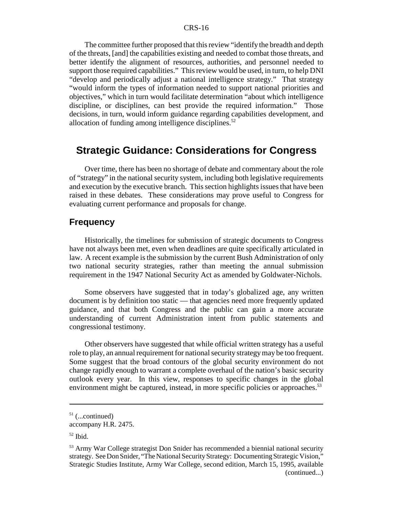The committee further proposed that this review "identify the breadth and depth of the threats, [and] the capabilities existing and needed to combat those threats, and better identify the alignment of resources, authorities, and personnel needed to support those required capabilities." This review would be used, in turn, to help DNI "develop and periodically adjust a national intelligence strategy." That strategy "would inform the types of information needed to support national priorities and objectives," which in turn would facilitate determination "about which intelligence discipline, or disciplines, can best provide the required information." Those decisions, in turn, would inform guidance regarding capabilities development, and allocation of funding among intelligence disciplines. $52$ 

# **Strategic Guidance: Considerations for Congress**

Over time, there has been no shortage of debate and commentary about the role of "strategy" in the national security system, including both legislative requirements and execution by the executive branch. This section highlights issues that have been raised in these debates. These considerations may prove useful to Congress for evaluating current performance and proposals for change.

#### **Frequency**

Historically, the timelines for submission of strategic documents to Congress have not always been met, even when deadlines are quite specifically articulated in law. A recent example is the submission by the current Bush Administration of only two national security strategies, rather than meeting the annual submission requirement in the 1947 National Security Act as amended by Goldwater-Nichols.

Some observers have suggested that in today's globalized age, any written document is by definition too static — that agencies need more frequently updated guidance, and that both Congress and the public can gain a more accurate understanding of current Administration intent from public statements and congressional testimony.

Other observers have suggested that while official written strategy has a useful role to play, an annual requirement for national security strategy may be too frequent. Some suggest that the broad contours of the global security environment do not change rapidly enough to warrant a complete overhaul of the nation's basic security outlook every year. In this view, responses to specific changes in the global environment might be captured, instead, in more specific policies or approaches.<sup>53</sup>

 $51$  (...continued)

accompany H.R. 2475.

 $52$  Ibid.

<sup>&</sup>lt;sup>53</sup> Army War College strategist Don Snider has recommended a biennial national security strategy. See Don Snider, "The National Security Strategy: Documenting Strategic Vision," Strategic Studies Institute, Army War College, second edition, March 15, 1995, available (continued...)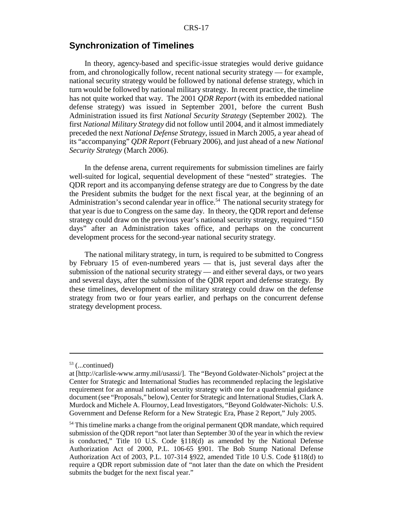#### **Synchronization of Timelines**

In theory, agency-based and specific-issue strategies would derive guidance from, and chronologically follow, recent national security strategy — for example, national security strategy would be followed by national defense strategy, which in turn would be followed by national military strategy. In recent practice, the timeline has not quite worked that way. The 2001 *QDR Report* (with its embedded national defense strategy) was issued in September 2001, before the current Bush Administration issued its first *National Security Strategy* (September 2002). The first *National Military Strategy* did not follow until 2004, and it almost immediately preceded the next *National Defense Strategy*, issued in March 2005, a year ahead of its "accompanying" *QDR Report* (February 2006), and just ahead of a new *National Security Strategy* (March 2006).

In the defense arena, current requirements for submission timelines are fairly well-suited for logical, sequential development of these "nested" strategies. The QDR report and its accompanying defense strategy are due to Congress by the date the President submits the budget for the next fiscal year, at the beginning of an Administration's second calendar year in office.<sup>54</sup> The national security strategy for that year is due to Congress on the same day. In theory, the QDR report and defense strategy could draw on the previous year's national security strategy, required "150 days" after an Administration takes office, and perhaps on the concurrent development process for the second-year national security strategy.

The national military strategy, in turn, is required to be submitted to Congress by February 15 of even-numbered years — that is, just several days after the submission of the national security strategy — and either several days, or two years and several days, after the submission of the QDR report and defense strategy. By these timelines, development of the military strategy could draw on the defense strategy from two or four years earlier, and perhaps on the concurrent defense strategy development process.

 $53$  (...continued)

at [http://carlisle-www.army.mil/usassi/]. The "Beyond Goldwater-Nichols" project at the Center for Strategic and International Studies has recommended replacing the legislative requirement for an annual national security strategy with one for a quadrennial guidance document (see "Proposals," below), Center for Strategic and International Studies, Clark A. Murdock and Michele A. Flournoy, Lead Investigators, "Beyond Goldwater-Nichols: U.S. Government and Defense Reform for a New Strategic Era, Phase 2 Report," July 2005.

 $<sup>54</sup>$  This timeline marks a change from the original permanent QDR mandate, which required</sup> submission of the QDR report "not later than September 30 of the year in which the review is conducted," Title 10 U.S. Code §118(d) as amended by the National Defense Authorization Act of 2000, P.L. 106-65 §901. The Bob Stump National Defense Authorization Act of 2003, P.L. 107-314 §922, amended Title 10 U.S. Code §118(d) to require a QDR report submission date of "not later than the date on which the President submits the budget for the next fiscal year."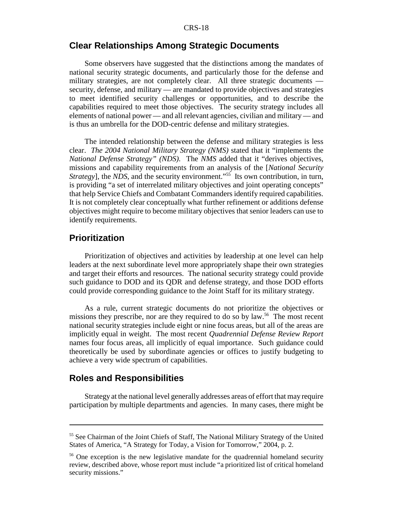### **Clear Relationships Among Strategic Documents**

Some observers have suggested that the distinctions among the mandates of national security strategic documents, and particularly those for the defense and military strategies, are not completely clear. All three strategic documents security, defense, and military — are mandated to provide objectives and strategies to meet identified security challenges or opportunities, and to describe the capabilities required to meet those objectives. The security strategy includes all elements of national power — and all relevant agencies, civilian and military — and is thus an umbrella for the DOD-centric defense and military strategies.

The intended relationship between the defense and military strategies is less clear. *The 2004 National Military Strategy (NMS)* stated that it "implements the *National Defense Strategy" (NDS)*. The *NMS* added that it "derives objectives, missions and capability requirements from an analysis of the [*National Security Strategy*], the *NDS*, and the security environment.<sup>"55</sup> Its own contribution, in turn, is providing "a set of interrelated military objectives and joint operating concepts" that help Service Chiefs and Combatant Commanders identify required capabilities. It is not completely clear conceptually what further refinement or additions defense objectives might require to become military objectives that senior leaders can use to identify requirements.

#### **Prioritization**

Prioritization of objectives and activities by leadership at one level can help leaders at the next subordinate level more appropriately shape their own strategies and target their efforts and resources. The national security strategy could provide such guidance to DOD and its QDR and defense strategy, and those DOD efforts could provide corresponding guidance to the Joint Staff for its military strategy.

As a rule, current strategic documents do not prioritize the objectives or missions they prescribe, nor are they required to do so by  $law<sup>56</sup>$ . The most recent national security strategies include eight or nine focus areas, but all of the areas are implicitly equal in weight. The most recent *Quadrennial Defense Review Report* names four focus areas, all implicitly of equal importance. Such guidance could theoretically be used by subordinate agencies or offices to justify budgeting to achieve a very wide spectrum of capabilities.

#### **Roles and Responsibilities**

Strategy at the national level generally addresses areas of effort that may require participation by multiple departments and agencies. In many cases, there might be

<sup>55</sup> See Chairman of the Joint Chiefs of Staff, The National Military Strategy of the United States of America, "A Strategy for Today, a Vision for Tomorrow," 2004, p. 2.

<sup>&</sup>lt;sup>56</sup> One exception is the new legislative mandate for the quadrennial homeland security review, described above, whose report must include "a prioritized list of critical homeland security missions."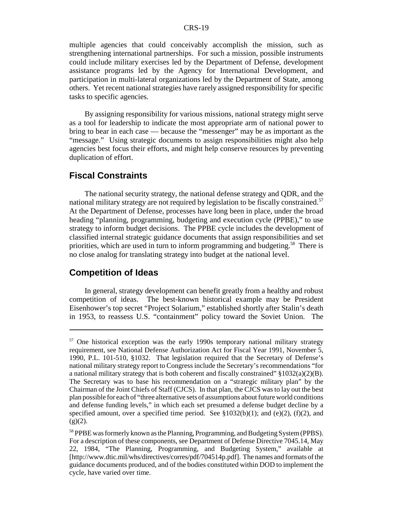multiple agencies that could conceivably accomplish the mission, such as strengthening international partnerships. For such a mission, possible instruments could include military exercises led by the Department of Defense, development assistance programs led by the Agency for International Development, and participation in multi-lateral organizations led by the Department of State, among others. Yet recent national strategies have rarely assigned responsibility for specific tasks to specific agencies.

By assigning responsibility for various missions, national strategy might serve as a tool for leadership to indicate the most appropriate arm of national power to bring to bear in each case — because the "messenger" may be as important as the "message." Using strategic documents to assign responsibilities might also help agencies best focus their efforts, and might help conserve resources by preventing duplication of effort.

#### **Fiscal Constraints**

The national security strategy, the national defense strategy and QDR, and the national military strategy are not required by legislation to be fiscally constrained.<sup>57</sup> At the Department of Defense, processes have long been in place, under the broad heading "planning, programming, budgeting and execution cycle (PPBE)," to use strategy to inform budget decisions. The PPBE cycle includes the development of classified internal strategic guidance documents that assign responsibilities and set priorities, which are used in turn to inform programming and budgeting.<sup>58</sup> There is no close analog for translating strategy into budget at the national level.

#### **Competition of Ideas**

In general, strategy development can benefit greatly from a healthy and robust competition of ideas. The best-known historical example may be President Eisenhower's top secret "Project Solarium," established shortly after Stalin's death in 1953, to reassess U.S. "containment" policy toward the Soviet Union. The

<sup>&</sup>lt;sup>57</sup> One historical exception was the early 1990s temporary national military strategy requirement, see National Defense Authorization Act for Fiscal Year 1991, November 5, 1990, P.L. 101-510, §1032. That legislation required that the Secretary of Defense's national military strategy report to Congress include the Secretary's recommendations "for a national military strategy that is both coherent and fiscally constrained"  $\S 1032(a)(2)(B)$ . The Secretary was to base his recommendation on a "strategic military plan" by the Chairman of the Joint Chiefs of Staff (CJCS). In that plan, the CJCS was to lay out the best plan possible for each of "three alternative sets of assumptions about future world conditions and defense funding levels," in which each set presumed a defense budget decline by a specified amount, over a specified time period. See  $$1032(b)(1)$ ; and (e)(2), (f)(2), and  $(g)(2)$ .

<sup>58</sup> PPBE was formerly known as the Planning, Programming, and Budgeting System (PPBS). For a description of these components, see Department of Defense Directive 7045.14, May 22, 1984, "The Planning, Programming, and Budgeting System," available at [http://www.dtic.mil/whs/directives/corres/pdf/704514p.pdf]. The names and formats of the guidance documents produced, and of the bodies constituted within DOD to implement the cycle, have varied over time.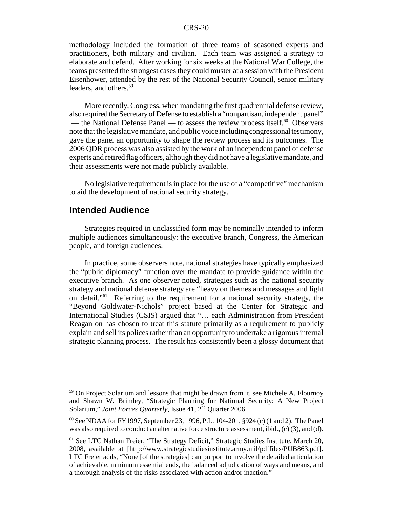methodology included the formation of three teams of seasoned experts and practitioners, both military and civilian. Each team was assigned a strategy to elaborate and defend. After working for six weeks at the National War College, the teams presented the strongest cases they could muster at a session with the President Eisenhower, attended by the rest of the National Security Council, senior military leaders, and others.<sup>59</sup>

More recently, Congress, when mandating the first quadrennial defense review, also required the Secretary of Defense to establish a "nonpartisan, independent panel" — the National Defense Panel — to assess the review process itself.<sup>60</sup> Observers note that the legislative mandate, and public voice including congressional testimony, gave the panel an opportunity to shape the review process and its outcomes. The 2006 QDR process was also assisted by the work of an independent panel of defense experts and retired flag officers, although they did not have a legislative mandate, and their assessments were not made publicly available.

No legislative requirement is in place for the use of a "competitive" mechanism to aid the development of national security strategy.

#### **Intended Audience**

Strategies required in unclassified form may be nominally intended to inform multiple audiences simultaneously: the executive branch, Congress, the American people, and foreign audiences.

In practice, some observers note, national strategies have typically emphasized the "public diplomacy" function over the mandate to provide guidance within the executive branch. As one observer noted, strategies such as the national security strategy and national defense strategy are "heavy on themes and messages and light on detail."61 Referring to the requirement for a national security strategy, the "Beyond Goldwater-Nichols" project based at the Center for Strategic and International Studies (CSIS) argued that "… each Administration from President Reagan on has chosen to treat this statute primarily as a requirement to publicly explain and sell its polices rather than an opportunity to undertake a rigorous internal strategic planning process. The result has consistently been a glossy document that

<sup>&</sup>lt;sup>59</sup> On Project Solarium and lessons that might be drawn from it, see Michele A. Flournoy and Shawn W. Brimley, "Strategic Planning for National Security: A New Project Solarium," *Joint Forces Quarterly*, Issue 41, 2nd Quarter 2006.

<sup>60</sup> See NDAA for FY1997, September 23, 1996, P.L. 104-201, §924 (c) (1 and 2). The Panel was also required to conduct an alternative force structure assessment, ibid.,  $(c)$  (3), and (d).

<sup>&</sup>lt;sup>61</sup> See LTC Nathan Freier, "The Strategy Deficit," Strategic Studies Institute, March 20, 2008, available at [http://www.strategicstudiesinstitute.army.mil/pdffiles/PUB863.pdf]. LTC Freier adds, "None [of the strategies] can purport to involve the detailed articulation of achievable, minimum essential ends, the balanced adjudication of ways and means, and a thorough analysis of the risks associated with action and/or inaction."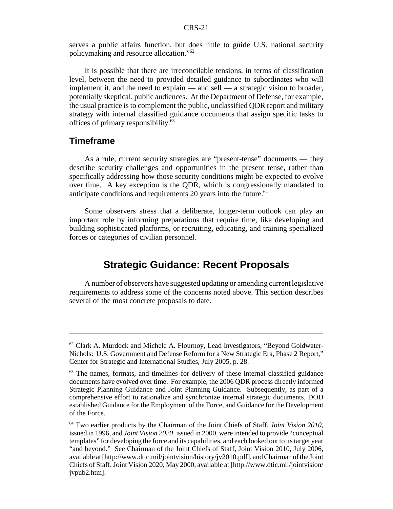serves a public affairs function, but does little to guide U.S. national security policymaking and resource allocation."62

It is possible that there are irreconcilable tensions, in terms of classification level, between the need to provided detailed guidance to subordinates who will implement it, and the need to explain — and sell — a strategic vision to broader, potentially skeptical, public audiences. At the Department of Defense, for example, the usual practice is to complement the public, unclassified QDR report and military strategy with internal classified guidance documents that assign specific tasks to offices of primary responsibility.<sup>63</sup>

#### **Timeframe**

As a rule, current security strategies are "present-tense" documents — they describe security challenges and opportunities in the present tense, rather than specifically addressing how those security conditions might be expected to evolve over time. A key exception is the QDR, which is congressionally mandated to anticipate conditions and requirements 20 years into the future. $64$ 

Some observers stress that a deliberate, longer-term outlook can play an important role by informing preparations that require time, like developing and building sophisticated platforms, or recruiting, educating, and training specialized forces or categories of civilian personnel.

# **Strategic Guidance: Recent Proposals**

A number of observers have suggested updating or amending current legislative requirements to address some of the concerns noted above. This section describes several of the most concrete proposals to date.

 $62$  Clark A. Murdock and Michele A. Flournoy, Lead Investigators, "Beyond Goldwater-Nichols: U.S. Government and Defense Reform for a New Strategic Era, Phase 2 Report," Center for Strategic and International Studies, July 2005, p. 28.

<sup>&</sup>lt;sup>63</sup> The names, formats, and timelines for delivery of these internal classified guidance documents have evolved over time. For example, the 2006 QDR process directly informed Strategic Planning Guidance and Joint Planning Guidance. Subsequently, as part of a comprehensive effort to rationalize and synchronize internal strategic documents, DOD established Guidance for the Employment of the Force, and Guidance for the Development of the Force.

<sup>64</sup> Two earlier products by the Chairman of the Joint Chiefs of Staff, *Joint Vision 2010*, issued in 1996, and *Joint Vision 2020*, issued in 2000, were intended to provide "conceptual templates" for developing the force and its capabilities, and each looked out to its target year "and beyond." See Chairman of the Joint Chiefs of Staff, Joint Vision 2010, July 2006, available at [http://www.dtic.mil/jointvision/history/jv2010.pdf], and Chairman of the Joint Chiefs of Staff, Joint Vision 2020, May 2000, available at [http://www.dtic.mil/jointvision/ jvpub2.htm].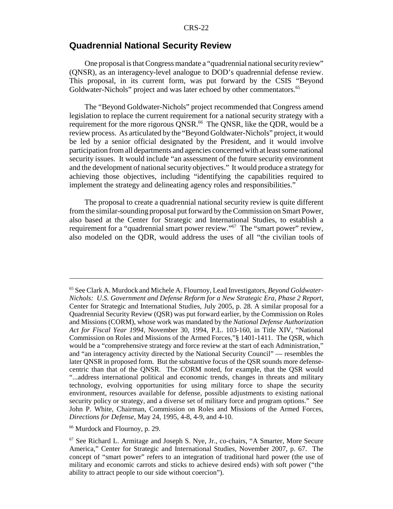#### **Quadrennial National Security Review**

One proposal is that Congress mandate a "quadrennial national security review" (QNSR), as an interagency-level analogue to DOD's quadrennial defense review. This proposal, in its current form, was put forward by the CSIS "Beyond Goldwater-Nichols" project and was later echoed by other commentators.<sup>65</sup>

The "Beyond Goldwater-Nichols" project recommended that Congress amend legislation to replace the current requirement for a national security strategy with a requirement for the more rigorous QNSR.<sup>66</sup> The QNSR, like the QDR, would be a review process. As articulated by the "Beyond Goldwater-Nichols" project, it would be led by a senior official designated by the President, and it would involve participation from all departments and agencies concerned with at least some national security issues. It would include "an assessment of the future security environment and the development of national security objectives." It would produce a strategy for achieving those objectives, including "identifying the capabilities required to implement the strategy and delineating agency roles and responsibilities."

The proposal to create a quadrennial national security review is quite different from the similar-sounding proposal put forward by the Commission on Smart Power, also based at the Center for Strategic and International Studies, to establish a requirement for a "quadrennial smart power review."<sup>67</sup> The "smart power" review, also modeled on the QDR, would address the uses of all "the civilian tools of

<sup>65</sup> See Clark A. Murdock and Michele A. Flournoy, Lead Investigators, *Beyond Goldwater-Nichols: U.S. Government and Defense Reform for a New Strategic Era, Phase 2 Report,* Center for Strategic and International Studies, July 2005, p. 28. A similar proposal for a Quadrennial Security Review (QSR) was put forward earlier, by the Commission on Roles and Missions (CORM), whose work was mandated by the *National Defense Authorization Act for Fiscal Year 1994*, November 30, 1994, P.L. 103-160, in Title XIV, "National Commission on Roles and Missions of the Armed Forces,"§ 1401-1411. The QSR, which would be a "comprehensive strategy and force review at the start of each Administration," and "an interagency activity directed by the National Security Council" — resembles the later QNSR in proposed form. But the substantive focus of the QSR sounds more defensecentric than that of the QNSR. The CORM noted, for example, that the QSR would "...address international political and economic trends, changes in threats and military technology, evolving opportunities for using military force to shape the security environment, resources available for defense, possible adjustments to existing national security policy or strategy, and a diverse set of military force and program options." See John P. White, Chairman, Commission on Roles and Missions of the Armed Forces, *Directions for Defense*, May 24, 1995, 4-8, 4-9, and 4-10.

<sup>66</sup> Murdock and Flournoy, p. 29.

<sup>67</sup> See Richard L. Armitage and Joseph S. Nye, Jr., co-chairs, "A Smarter, More Secure America," Center for Strategic and International Studies, November 2007, p. 67. The concept of "smart power" refers to an integration of traditional hard power (the use of military and economic carrots and sticks to achieve desired ends) with soft power ("the ability to attract people to our side without coercion").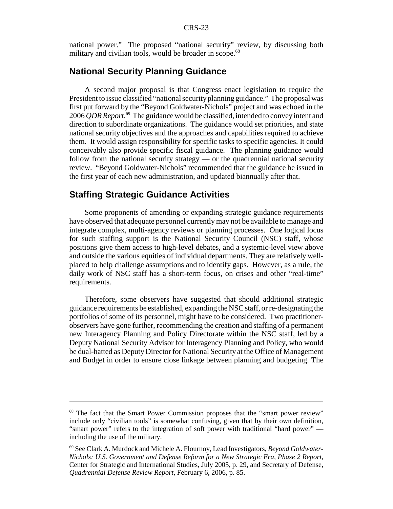national power." The proposed "national security" review, by discussing both military and civilian tools, would be broader in scope.<sup>68</sup>

#### **National Security Planning Guidance**

A second major proposal is that Congress enact legislation to require the President to issue classified "national security planning guidance." The proposal was first put forward by the "Beyond Goldwater-Nichols" project and was echoed in the 2006 *QDR Report*. 69 The guidance would be classified, intended to convey intent and direction to subordinate organizations. The guidance would set priorities, and state national security objectives and the approaches and capabilities required to achieve them. It would assign responsibility for specific tasks to specific agencies. It could conceivably also provide specific fiscal guidance. The planning guidance would follow from the national security strategy — or the quadrennial national security review. "Beyond Goldwater-Nichols" recommended that the guidance be issued in the first year of each new administration, and updated biannually after that.

#### **Staffing Strategic Guidance Activities**

Some proponents of amending or expanding strategic guidance requirements have observed that adequate personnel currently may not be available to manage and integrate complex, multi-agency reviews or planning processes. One logical locus for such staffing support is the National Security Council (NSC) staff, whose positions give them access to high-level debates, and a systemic-level view above and outside the various equities of individual departments. They are relatively wellplaced to help challenge assumptions and to identify gaps. However, as a rule, the daily work of NSC staff has a short-term focus, on crises and other "real-time" requirements.

Therefore, some observers have suggested that should additional strategic guidance requirements be established, expanding the NSC staff, or re-designating the portfolios of some of its personnel, might have to be considered. Two practitionerobservers have gone further, recommending the creation and staffing of a permanent new Interagency Planning and Policy Directorate within the NSC staff, led by a Deputy National Security Advisor for Interagency Planning and Policy, who would be dual-hatted as Deputy Director for National Security at the Office of Management and Budget in order to ensure close linkage between planning and budgeting. The

<sup>&</sup>lt;sup>68</sup> The fact that the Smart Power Commission proposes that the "smart power review" include only "civilian tools" is somewhat confusing, given that by their own definition, "smart power" refers to the integration of soft power with traditional "hard power" including the use of the military.

<sup>69</sup> See Clark A. Murdock and Michele A. Flournoy, Lead Investigators, *Beyond Goldwater-Nichols: U.S. Government and Defense Reform for a New Strategic Era, Phase 2 Report,* Center for Strategic and International Studies, July 2005, p. 29, and Secretary of Defense, *Quadrennial Defense Review Report*, February 6, 2006, p. 85.